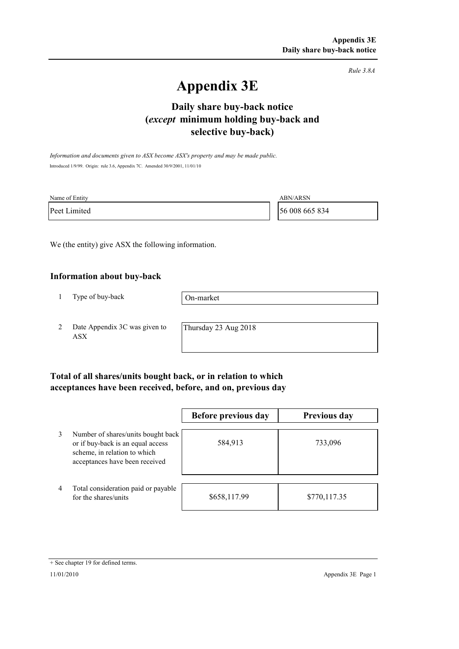*Rule 3.8A*

# **Appendix 3E**

# **selective buy-back) Daily share buy-back notice (***except* **minimum holding buy-back and**

*Information and documents given to ASX become ASX's property and may be made public.* Introduced 1/9/99. Origin: rule 3.6, Appendix 7C. Amended 30/9/2001, 11/01/10

| Name of Entity | ABN/ARSN       |
|----------------|----------------|
| Peet Limited   | 56 008 665 834 |

We (the entity) give ASX the following information.

#### **Information about buy-back**

1 Type of buy-back

On-market

2 Date Appendix 3C was given to ASX

Thursday 23 Aug 2018

### **Total of all shares/units bought back, or in relation to which acceptances have been received, before, and on, previous day**

|   |                                                                                                                                           | Before previous day | <b>Previous day</b> |
|---|-------------------------------------------------------------------------------------------------------------------------------------------|---------------------|---------------------|
| 3 | Number of shares/units bought back<br>or if buy-back is an equal access<br>scheme, in relation to which<br>acceptances have been received | 584,913             | 733,096             |
| 4 | Total consideration paid or payable<br>for the shares/units                                                                               | \$658,117.99        | \$770,117.35        |

<sup>+</sup> See chapter 19 for defined terms.